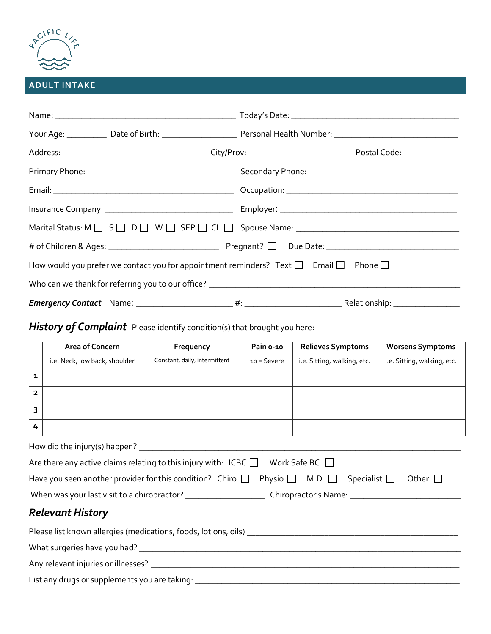

#### **ADULT INTAKE**

| Your Age: ____________ Date of Birth: ___________________________ Personal Health Number: __________________________ |  |  |  |  |  |
|----------------------------------------------------------------------------------------------------------------------|--|--|--|--|--|
|                                                                                                                      |  |  |  |  |  |
|                                                                                                                      |  |  |  |  |  |
|                                                                                                                      |  |  |  |  |  |
|                                                                                                                      |  |  |  |  |  |
|                                                                                                                      |  |  |  |  |  |
|                                                                                                                      |  |  |  |  |  |
| How would you prefer we contact you for appointment reminders? Text $\Box$ Email $\Box$ Phone $\Box$                 |  |  |  |  |  |
|                                                                                                                      |  |  |  |  |  |
|                                                                                                                      |  |  |  |  |  |

## *History of Complaint* Please identify condition(s) that brought you here:

|                               | Area of Concern               | Frequency                     | Pain o-10     | <b>Relieves Symptoms</b>    | <b>Worsens Symptoms</b>     |
|-------------------------------|-------------------------------|-------------------------------|---------------|-----------------------------|-----------------------------|
|                               | i.e. Neck, low back, shoulder | Constant, daily, intermittent | $10 =$ Severe | i.e. Sitting, walking, etc. | i.e. Sitting, walking, etc. |
| 1                             |                               |                               |               |                             |                             |
| $\overline{\mathbf{z}}$       |                               |                               |               |                             |                             |
| 3                             |                               |                               |               |                             |                             |
| 4                             |                               |                               |               |                             |                             |
| How did the injury(s) happen? |                               |                               |               |                             |                             |

| Are there any active claims relating to this injury with: ICBC $\Box$ Work Safe BC $\Box$                   |  |  |              |  |  |
|-------------------------------------------------------------------------------------------------------------|--|--|--------------|--|--|
| Have you seen another provider for this condition? Chiro $\Box$ Physio $\Box$ M.D. $\Box$ Specialist $\Box$ |  |  | Other $\Box$ |  |  |
|                                                                                                             |  |  |              |  |  |
| <b>Relevant History</b>                                                                                     |  |  |              |  |  |
|                                                                                                             |  |  |              |  |  |
|                                                                                                             |  |  |              |  |  |
|                                                                                                             |  |  |              |  |  |
|                                                                                                             |  |  |              |  |  |